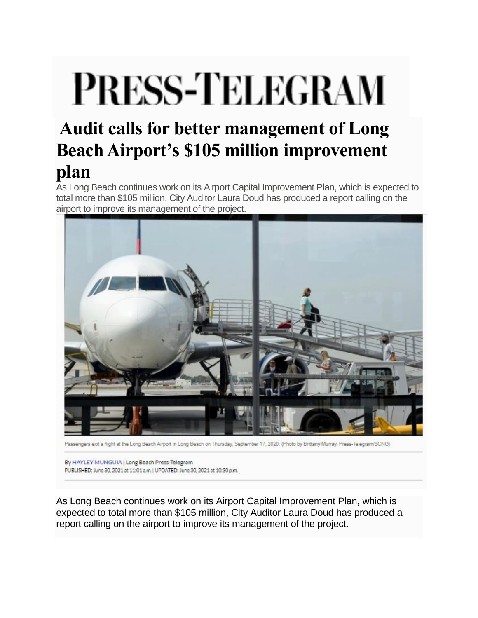## **PRESS-TELEGRAM**

## **Audit calls for better management of Long Beach Airport's \$105 million improvement plan**

As Long Beach continues work on its Airport Capital Improvement Plan, which is expected to total more than \$105 million, City Auditor Laura Doud has produced a report calling on the airport to improve its management of the project.



Passengers exit a flight at the Long Beach Airport in Long Beach on Thursday, September 17, 2020. (Photo by Brittany Murray, Press-Telegram/SCNG)

By HAYLEY MUNGUIA | Long Beach Press-Telegram PUBLISHED: June 30, 2021 at 11:01 a.m. | UPDATED: June 30, 2021 at 10:30 p.m.

As Long Beach continues work on its Airport Capital Improvement Plan, which is expected to total more than \$105 million, City Auditor Laura Doud has produced a report calling on the airport to improve its management of the project.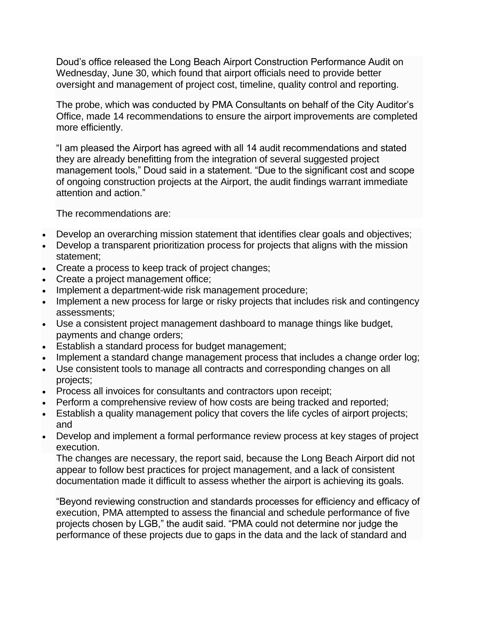Doud's office released the Long Beach Airport Construction Performance Audit on Wednesday, June 30, which found that airport officials need to provide better oversight and management of project cost, timeline, quality control and reporting.

The probe, which was conducted by PMA Consultants on behalf of the City Auditor's Office, made 14 recommendations to ensure the airport improvements are completed more efficiently.

"I am pleased the Airport has agreed with all 14 audit recommendations and stated they are already benefitting from the integration of several suggested project management tools," Doud said in a statement. "Due to the significant cost and scope of ongoing construction projects at the Airport, the audit findings warrant immediate attention and action."

The recommendations are:

- Develop an overarching mission statement that identifies clear goals and objectives;
- Develop a transparent prioritization process for projects that aligns with the mission statement;
- Create a process to keep track of project changes;
- Create a project management office;
- Implement a department-wide risk management procedure;
- Implement a new process for large or risky projects that includes risk and contingency assessments;
- Use a consistent project management dashboard to manage things like budget, payments and change orders;
- Establish a standard process for budget management;
- Implement a standard change management process that includes a change order log;
- Use consistent tools to manage all contracts and corresponding changes on all projects;
- Process all invoices for consultants and contractors upon receipt;
- Perform a comprehensive review of how costs are being tracked and reported;
- Establish a quality management policy that covers the life cycles of airport projects; and
- Develop and implement a formal performance review process at key stages of project execution.

The changes are necessary, the report said, because the Long Beach Airport did not appear to follow best practices for project management, and a lack of consistent documentation made it difficult to assess whether the airport is achieving its goals.

"Beyond reviewing construction and standards processes for efficiency and efficacy of execution, PMA attempted to assess the financial and schedule performance of five projects chosen by LGB," the audit said. "PMA could not determine nor judge the performance of these projects due to gaps in the data and the lack of standard and